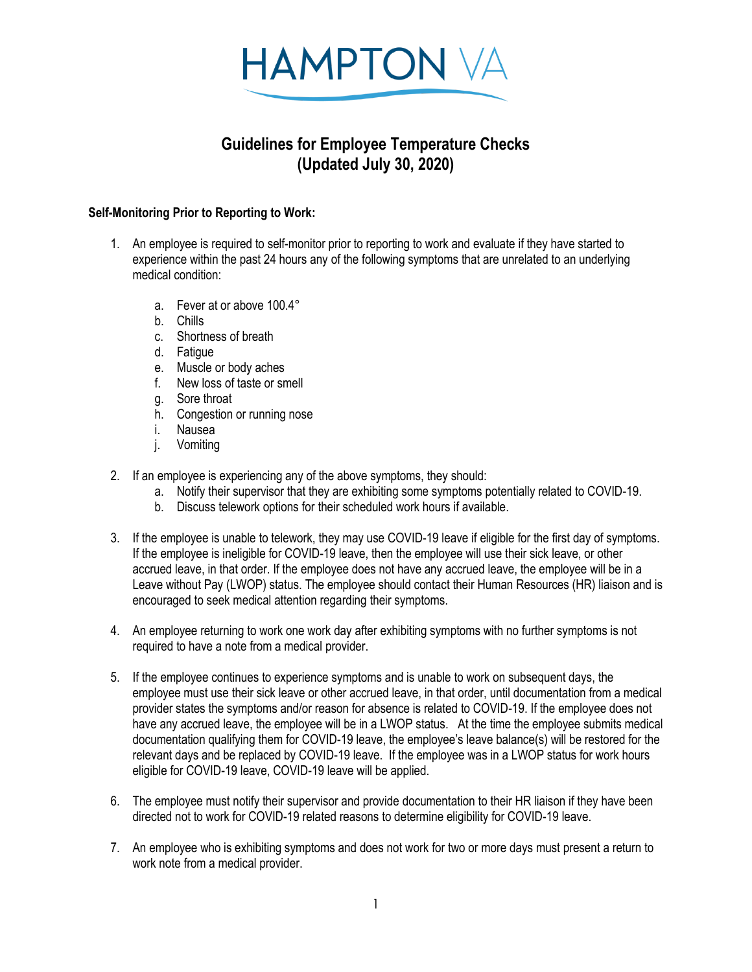

## **Guidelines for Employee Temperature Checks (Updated July 30, 2020)**

## **Self-Monitoring Prior to Reporting to Work:**

- 1. An employee is required to self-monitor prior to reporting to work and evaluate if they have started to experience within the past 24 hours any of the following symptoms that are unrelated to an underlying medical condition:
	- a. Fever at or above 100.4°
	- b. Chills
	- c. Shortness of breath
	- d. Fatigue
	- e. Muscle or body aches
	- f. New loss of taste or smell
	- g. Sore throat
	- h. Congestion or running nose
	- i. Nausea
	- j. Vomiting
- 2. If an employee is experiencing any of the above symptoms, they should:
	- a. Notify their supervisor that they are exhibiting some symptoms potentially related to COVID-19.
	- b. Discuss telework options for their scheduled work hours if available.
- 3. If the employee is unable to telework, they may use COVID-19 leave if eligible for the first day of symptoms. If the employee is ineligible for COVID-19 leave, then the employee will use their sick leave, or other accrued leave, in that order. If the employee does not have any accrued leave, the employee will be in a Leave without Pay (LWOP) status. The employee should contact their Human Resources (HR) liaison and is encouraged to seek medical attention regarding their symptoms.
- 4. An employee returning to work one work day after exhibiting symptoms with no further symptoms is not required to have a note from a medical provider.
- 5. If the employee continues to experience symptoms and is unable to work on subsequent days, the employee must use their sick leave or other accrued leave, in that order, until documentation from a medical provider states the symptoms and/or reason for absence is related to COVID-19. If the employee does not have any accrued leave, the employee will be in a LWOP status. At the time the employee submits medical documentation qualifying them for COVID-19 leave, the employee's leave balance(s) will be restored for the relevant days and be replaced by COVID-19 leave. If the employee was in a LWOP status for work hours eligible for COVID-19 leave, COVID-19 leave will be applied.
- 6. The employee must notify their supervisor and provide documentation to their HR liaison if they have been directed not to work for COVID-19 related reasons to determine eligibility for COVID-19 leave.
- 7. An employee who is exhibiting symptoms and does not work for two or more days must present a return to work note from a medical provider.